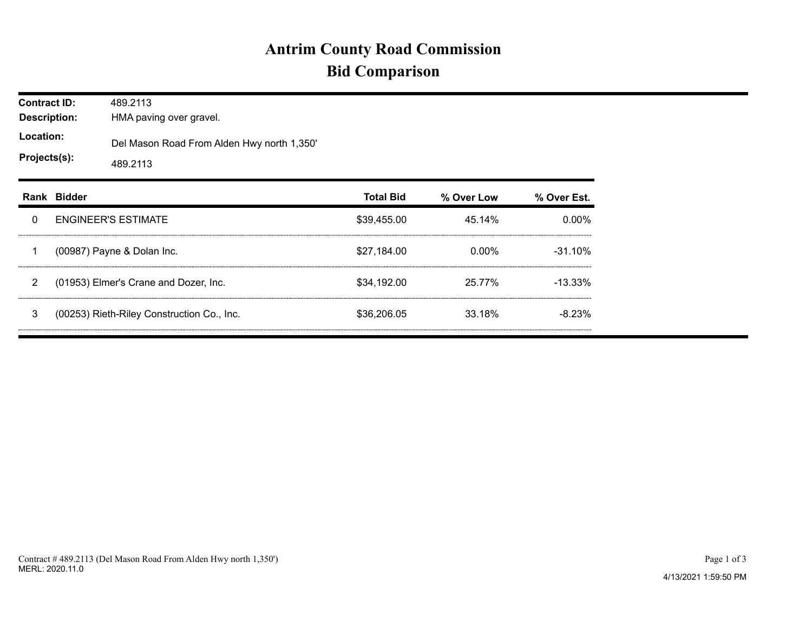## **Antrim County Road Commission Bid Comparison**

| <b>Contract ID:</b><br><b>Description:</b><br>Location:<br>Projects(s): |             | 489.2113<br>HMA paving over gravel.                    |                  |            |             |  |  |  |  |
|-------------------------------------------------------------------------|-------------|--------------------------------------------------------|------------------|------------|-------------|--|--|--|--|
|                                                                         |             | Del Mason Road From Alden Hwy north 1,350'<br>489.2113 |                  |            |             |  |  |  |  |
|                                                                         | Rank Bidder |                                                        | <b>Total Bid</b> | % Over Low | % Over Est. |  |  |  |  |
| 0                                                                       |             | <b>ENGINEER'S ESTIMATE</b>                             | \$39,455.00      | 45.14%     | 0.00%       |  |  |  |  |
| 1                                                                       |             | (00987) Payne & Dolan Inc.                             | \$27,184.00      | 0.00%      | $-31.10%$   |  |  |  |  |
| $\overline{2}$                                                          |             | (01953) Elmer's Crane and Dozer, Inc.                  | \$34.192.00      | 25.77%     | $-13.33\%$  |  |  |  |  |
| 3                                                                       |             | (00253) Rieth-Riley Construction Co., Inc.             | \$36,206.05      | 33.18%     | $-8.23\%$   |  |  |  |  |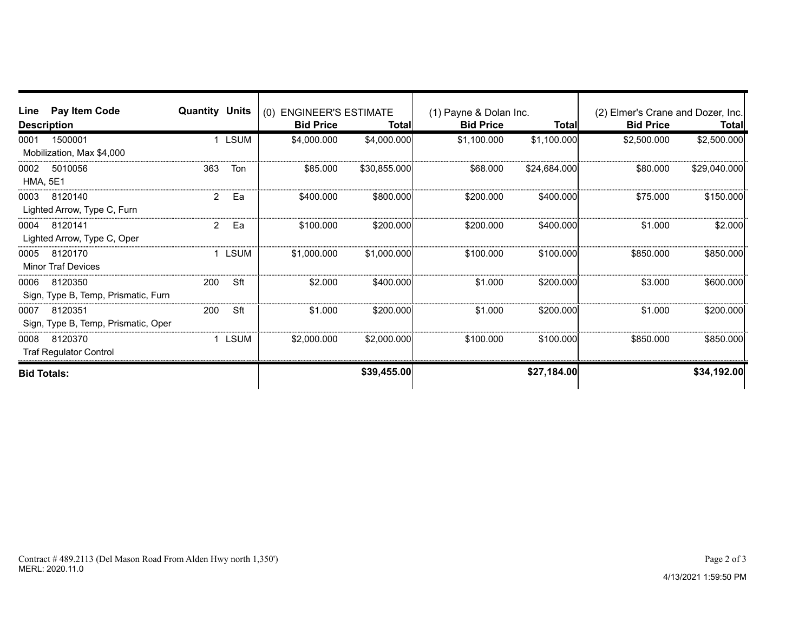| Line                    | Pay Item Code<br><b>Description</b>            | <b>Quantity Units</b> |             | (0) ENGINEER'S ESTIMATE<br><b>Bid Price</b> | Total        | (1) Payne & Dolan Inc.<br><b>Bid Price</b> | <b>Total</b> | (2) Elmer's Crane and Dozer, Inc.<br><b>Bid Price</b> | <b>Total</b> |
|-------------------------|------------------------------------------------|-----------------------|-------------|---------------------------------------------|--------------|--------------------------------------------|--------------|-------------------------------------------------------|--------------|
| 0001                    | 1500001<br>Mobilization, Max \$4,000           |                       | <b>LSUM</b> | \$4,000.000                                 | \$4,000.000  | \$1,100.000                                | \$1,100.000  | \$2,500.000                                           | \$2,500.000  |
| 0002<br><b>HMA, 5E1</b> | 5010056                                        | 363                   | Ton         | \$85,000                                    | \$30,855.000 | \$68,000                                   | \$24,684.000 | \$80,000                                              | \$29,040.000 |
| 0003                    | 8120140<br>Lighted Arrow, Type C, Furn         | 2                     | Ea          | \$400,000                                   | \$800.000    | \$200,000                                  | \$400,000    | \$75.000                                              | \$150.000    |
| 0004                    | 8120141<br>Lighted Arrow, Type C, Oper         | 2                     | Ea          | \$100,000                                   | \$200.000    | \$200,000                                  | \$400,000    | \$1,000                                               | \$2.000      |
| 0005                    | 8120170<br><b>Minor Traf Devices</b>           |                       | LSUM        | \$1,000.000                                 | \$1,000.000  | \$100.000                                  | \$100.000    | \$850.000                                             | \$850.000    |
| 0006                    | 8120350<br>Sign, Type B, Temp, Prismatic, Furn | 200                   | Sft         | \$2,000                                     | \$400,000    | \$1.000                                    | \$200,000    | \$3.000                                               | \$600.000    |
| 0007                    | 8120351<br>Sign, Type B, Temp, Prismatic, Oper | 200                   | Sft         | \$1.000                                     | \$200.000    | \$1.000                                    | \$200.000    | \$1.000                                               | \$200.000    |
| 0008                    | 8120370<br><b>Traf Regulator Control</b>       |                       | LSUM        | \$2,000.000                                 | \$2,000,000  | \$100.000                                  | \$100,000    | \$850,000                                             | \$850,000    |
| <b>Bid Totals:</b>      |                                                |                       |             |                                             | \$39,455.00  |                                            | \$27,184.00  |                                                       | \$34,192.00  |